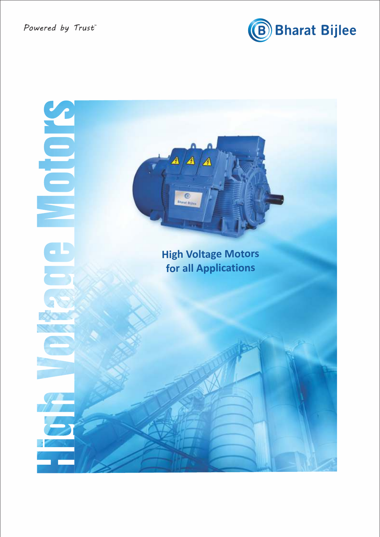

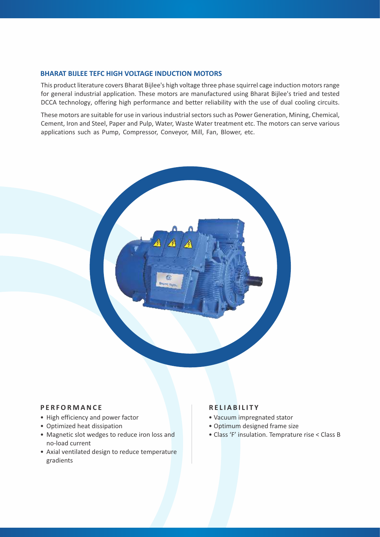# **BHARAT BIJLEE TEFC HIGH VOLTAGE INDUCTION MOTORS**

This product literature covers Bharat Bijlee's high voltage three phase squirrel cage induction motors range for general industrial application. These motors are manufactured using Bharat Bijlee's tried and tested DCCA technology, offering high performance and better reliability with the use of dual cooling circuits.

These motors are suitable for use in various industrial sectors such as Power Generation, Mining, Chemical, Cement, Iron and Steel, Paper and Pulp, Water, Waste Water treatment etc. The motors can serve various applications such as Pump, Compressor, Conveyor, Mill, Fan, Blower, etc.



# **P E R FOR M ANC E**

- High efficiency and power factor
- Optimized heat dissipation
- Magnetic slot wedges to reduce iron loss and no-load current
- Axial ventilated design to reduce temperature gradients

# **R E L I A B I L I T Y**

- Vacuum impregnated stator
- Optimum designed frame size
- Class 'F' insulation. Temprature rise < Class B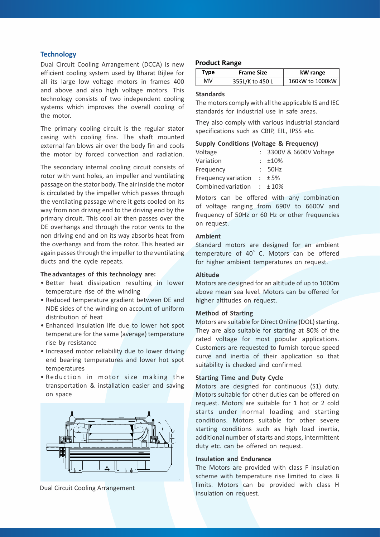# **Technology**

Dual Circuit Cooling Arrangement (DCCA) is new efficient cooling system used by Bharat Bijlee for all its large low voltage motors in frames 400 and above and also high voltage motors. This technology consists of two independent cooling systems which improves the overall cooling of the motor.

The primary cooling circuit is the regular stator casing with cooling fins. The shaft mounted external fan blows air over the body fin and cools the motor by forced convection and radiation.

The secondary internal cooling circuit consists of rotor with vent holes, an impeller and ventilating passage on the stator body. The air inside the motor is circulated by the impeller which passes through the ventilating passage where it gets cooled on its way from non driving end to the driving end by the primary circuit. This cool air then passes over the DE overhangs and through the rotor vents to the non driving end and on its way absorbs heat from the overhangs and from the rotor. This heated air again passes through the impeller to the ventilating ducts and the cycle repeats.

#### **The advantages of this technology are:**

- Better heat dissipation resulting in lower temperature rise of the winding
- Reduced temperature gradient between DE and NDE sides of the winding on account of uniform distribution of heat
- Enhanced insulation life due to lower hot spot temperature for the same (average) temperature rise by resistance
- Increased motor reliability due to lower driving end bearing temperatures and lower hot spot temperatures
- Reduc tion in motor size making the transportation & installation easier and saving on space



Dual Circuit Cooling Arrangement

# **Product Range**

| Type | <b>Frame Size</b> | kW range        |  |
|------|-------------------|-----------------|--|
| MV   | 355L/K to 450 L   | 160kW to 1000kW |  |

# **Standards**

The motors comply with all the applicable IS and IEC standards for industrial use in safe areas.

They also comply with various industrial standard specifications such as CBIP, EIL, IPSS etc.

# **Supply Conditions (Voltage & Frequency)**

| Voltage             | : 3300V & 6600V Voltage |
|---------------------|-------------------------|
| Variation           | $\pm 10\%$              |
| Frequency           | : 50Hz                  |
| Frequency variation | ±5%                     |
| Combined variation  | $\pm 10\%$              |

Motors can be offered with any combination of voltage ranging from 690V to 6600V and frequency of 50Hz or 60 Hz or other frequencies on request.

# **Ambient**

Standard motors are designed for an ambient temperature of 40° C. Motors can be offered for higher ambient temperatures on request.

# **Altitude**

Motors are designed for an altitude of up to 1000m above mean sea level. Motors can be offered for higher altitudes on request.

#### **Method of Starting**

Motors are suitable for Direct Online (DOL) starting. They are also suitable for starting at 80% of the rated voltage for most popular applications. Customers are requested to furnish torque speed curve and inertia of their application so that suitability is checked and confirmed.

# **Starting Time and Duty Cycle**

Motors are designed for continuous (S1) duty. Motors suitable for other duties can be offered on request. Motors are suitable for 1 hot or 2 cold starts under normal loading and starting conditions. Motors suitable for other severe starting conditions such as high load inertia, additional number of starts and stops, intermittent duty etc. can be offered on request.

# **Insulation and Endurance**

The Motors are provided with class F insulation scheme with temperature rise limited to class B limits. Motors can be provided with class H insulation on request.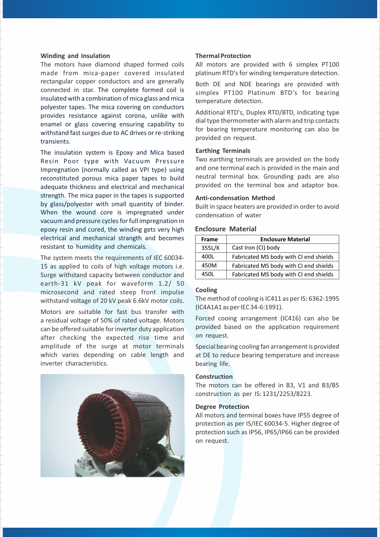#### **Winding and Insulation**

The motors have diamond shaped formed coils made from mica-paper covered insulated rectangular copper conductors and are generally connected in star. The complete formed coil is insulated with a combination of mica glass and mica polyester tapes. The mica covering on conductors provides resistance against corona, unlike with enamel or glass covering ensuring capability to withstand fast surges due to AC drives or re-striking transients.

The insulation system is Epoxy and Mica based Resin Poor type with Vacuum Pressure Impregnation (normally called as VPI type) using reconstituted porous mica paper tapes to build adequate thickness and electrical and mechanical strength. The mica paper in the tapes is supported by glass/polyester with small quantity of binder. When the wound core is impregnated under vacuum and pressure cycles for full impregnation in epoxy resin and cured, the winding gets very high electrical and mechanical strangth and becomes resistant to humidity and chemicals.

The system meets the requirements of IEC 60034- 15 as applied to coils of high voltage motors i.e. Surge withstand capacity between conductor and earth-31 kV peak for waveform 1.2/ 50 microsecond and rated steep front impulse withstand voltage of 20 kV peak 6.6kV motor coils.

Motors are suitable for fast bus transfer with a residual voltage of 50% of rated voltage. Motors can be offered suitable for inverter duty application after checking the expected rise time and amplitude of the surge at motor terminals which varies depending on cable length and inverter characteristics.

# **Thermal Protection**

All motors are provided with 6 simplex PT100 platinum RTD's for winding temperature detection.

Both DE and NDE bearings are provided with simplex PT100 Platinum BTD's for bearing temperature detection.

Additional RTD's, Duplex RTD/BTD, indicating type dial type thermometer with alarm and trip contacts for bearing temperature monitoring can also be provided on request.

# **Earthing Terminals**

Two earthing terminals are provided on the body and one terminal each is provided in the main and neutral terminal box. Grounding pads are also provided on the terminal box and adaptor box.

# **Anti-condensation Method**

Built in space heaters are provided in order to avoid condensation of water

# **Enclosure Material**

| <b>Frame</b> | <b>Enclosure Material</b>              |  |  |
|--------------|----------------------------------------|--|--|
| 355L/K       | Cast Iron (CI) body                    |  |  |
| 400L         | Fabricated MS body with CI end shields |  |  |
| 450M         | Fabricated MS body with CI end shields |  |  |
| 4501         | Fabricated MS body with CI end shields |  |  |

# **Cooling**

The method of cooling is IC411 as per IS: 6362-1995 (IC4A1A1 as per IEC 34-6:1991).

Forced cooing arrangement (IC416) can also be provided based on the application requirement on request.

Special bearing cooling fan arrangement is provided at DE to reduce bearing temperature and increase bearing life.

### **Construction**

The motors can be offered in B3, V1 and B3/B5 construction as per IS: 1231/2253/8223.

# **Degree Protection**

All motors and terminal boxes have IP55 degree of protection as per IS/IEC 60034-5. Higher degree of protection such as IP56, IP65/IP66 can be provided on request.

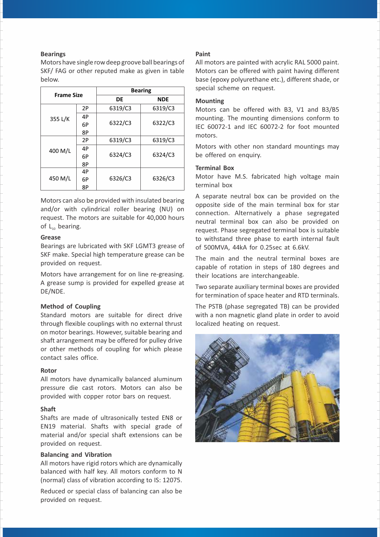# **Bearings**

Motors have single row deep groove ball bearings of SKF/ FAG or other reputed make as given in table below.

| <b>Frame Size</b> |    | <b>Bearing</b> |            |  |
|-------------------|----|----------------|------------|--|
|                   |    | DE             | <b>NDE</b> |  |
|                   | 2P | 6319/C3        | 6319/C3    |  |
| 355 L/K           | 4P |                |            |  |
|                   | 6P | 6322/C3        | 6322/C3    |  |
|                   | 8P |                |            |  |
|                   | 2P | 6319/C3        | 6319/C3    |  |
| 400 M/L           | 4P |                | 6324/C3    |  |
|                   | 6P | 6324/C3        |            |  |
|                   | 8P |                |            |  |
|                   | 4P |                |            |  |
| 450 M/L           | 6P | 6326/C3        | 6326/C3    |  |
|                   | 8Р |                |            |  |

Motors can also be provided with insulated bearing and/or with cylindrical roller bearing (NU) on request. The motors are suitable for 40,000 hours of  $L_{10}$  bearing.

# **Grease**

Bearings are lubricated with SKF LGMT3 grease of SKF make. Special high temperature grease can be provided on request.

Motors have arrangement for on line re-greasing. A grease sump is provided for expelled grease at DE/NDE.

# **Method of Coupling**

Standard motors are suitable for direct drive through flexible couplings with no external thrust on motor bearings. However, suitable bearing and shaft arrangement may be offered for pulley drive or other methods of coupling for which please contact sales office.

# **Rotor**

All motors have dynamically balanced aluminum pressure die cast rotors. Motors can also be provided with copper rotor bars on request.

# **Shaft**

Shafts are made of ultrasonically tested EN8 or EN19 material. Shafts with special grade of material and/or special shaft extensions can be provided on request.

# **Balancing and Vibration**

All motors have rigid rotors which are dynamically balanced with half key. All motors conform to N (normal) class of vibration according to IS: 12075.

Reduced or special class of balancing can also be provided on request.

# **Paint**

All motors are painted with acrylic RAL 5000 paint. Motors can be offered with paint having different base (epoxy polyurethane etc.), different shade, or special scheme on request.

# **Mounting**

Motors can be offered with B3, V1 and B3/B5 mounting. The mounting dimensions conform to IEC 60072-1 and IEC 60072-2 for foot mounted motors.

Motors with other non standard mountings may be offered on enquiry.

# **Terminal Box**

Motor have M.S. fabricated high voltage main terminal box

A separate neutral box can be provided on the opposite side of the main terminal box for star connection. Alternatively a phase segregated neutral terminal box can also be provided on request. Phase segregated terminal box is suitable to withstand three phase to earth internal fault of 500MVA, 44kA for 0.25sec at 6.6kV.

The main and the neutral terminal boxes are capable of rotation in steps of 180 degrees and their locations are interchangeable.

Two separate auxiliary terminal boxes are provided for termination of space heater and RTD terminals.

The PSTB (phase segregated TB) can be provided with a non magnetic gland plate in order to avoid localized heating on request.